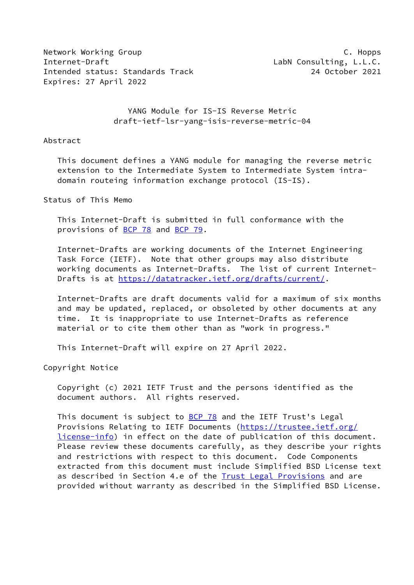Network Working Group **C. Hopps** Internet-Draft LabN Consulting, L.L.C. Intended status: Standards Track 24 October 2021 Expires: 27 April 2022

 YANG Module for IS-IS Reverse Metric draft-ietf-lsr-yang-isis-reverse-metric-04

#### Abstract

 This document defines a YANG module for managing the reverse metric extension to the Intermediate System to Intermediate System intra domain routeing information exchange protocol (IS-IS).

Status of This Memo

 This Internet-Draft is submitted in full conformance with the provisions of [BCP 78](https://datatracker.ietf.org/doc/pdf/bcp78) and [BCP 79](https://datatracker.ietf.org/doc/pdf/bcp79).

 Internet-Drafts are working documents of the Internet Engineering Task Force (IETF). Note that other groups may also distribute working documents as Internet-Drafts. The list of current Internet- Drafts is at<https://datatracker.ietf.org/drafts/current/>.

 Internet-Drafts are draft documents valid for a maximum of six months and may be updated, replaced, or obsoleted by other documents at any time. It is inappropriate to use Internet-Drafts as reference material or to cite them other than as "work in progress."

This Internet-Draft will expire on 27 April 2022.

Copyright Notice

 Copyright (c) 2021 IETF Trust and the persons identified as the document authors. All rights reserved.

 This document is subject to [BCP 78](https://datatracker.ietf.org/doc/pdf/bcp78) and the IETF Trust's Legal Provisions Relating to IETF Documents ([https://trustee.ietf.org/](https://trustee.ietf.org/license-info) [license-info](https://trustee.ietf.org/license-info)) in effect on the date of publication of this document. Please review these documents carefully, as they describe your rights and restrictions with respect to this document. Code Components extracted from this document must include Simplified BSD License text as described in Section 4.e of the **[Trust Legal Provisions](https://trustee.ietf.org/license-info)** and are provided without warranty as described in the Simplified BSD License.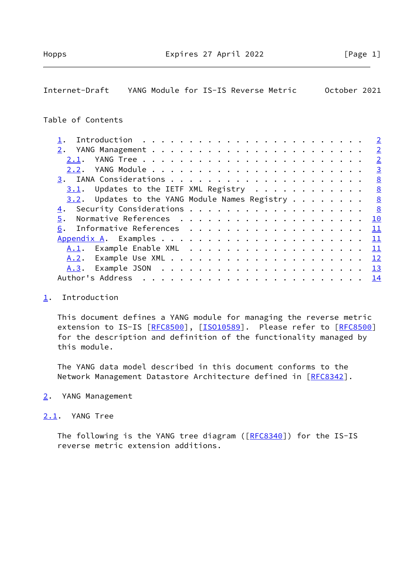# <span id="page-1-1"></span>Internet-Draft YANG Module for IS-IS Reverse Metric October 2021

## Table of Contents

|      |                                                     |  |  |  |  |  |  |  |  |  |  |  | $\overline{2}$ |
|------|-----------------------------------------------------|--|--|--|--|--|--|--|--|--|--|--|----------------|
|      |                                                     |  |  |  |  |  |  |  |  |  |  |  | $\overline{2}$ |
| 2.1. |                                                     |  |  |  |  |  |  |  |  |  |  |  | $\overline{2}$ |
|      |                                                     |  |  |  |  |  |  |  |  |  |  |  | $\overline{3}$ |
|      |                                                     |  |  |  |  |  |  |  |  |  |  |  | 8              |
|      | $3.1$ . Updates to the IETF XML Registry            |  |  |  |  |  |  |  |  |  |  |  | $\frac{8}{2}$  |
|      | $3.2$ . Updates to the YANG Module Names Registry 8 |  |  |  |  |  |  |  |  |  |  |  |                |
|      |                                                     |  |  |  |  |  |  |  |  |  |  |  | 8              |
| 5.   |                                                     |  |  |  |  |  |  |  |  |  |  |  | 10             |
| 6.   |                                                     |  |  |  |  |  |  |  |  |  |  |  | $\perp$        |
|      |                                                     |  |  |  |  |  |  |  |  |  |  |  | - 11           |
|      |                                                     |  |  |  |  |  |  |  |  |  |  |  | - 11           |
|      |                                                     |  |  |  |  |  |  |  |  |  |  |  |                |
|      |                                                     |  |  |  |  |  |  |  |  |  |  |  |                |
|      |                                                     |  |  |  |  |  |  |  |  |  |  |  |                |
|      |                                                     |  |  |  |  |  |  |  |  |  |  |  |                |

### <span id="page-1-0"></span>[1](#page-1-0). Introduction

 This document defines a YANG module for managing the reverse metric extension to IS-IS [[RFC8500\]](https://datatracker.ietf.org/doc/pdf/rfc8500), [[ISO10589\]](#page-10-2). Please refer to [RFC8500] for the description and definition of the functionality managed by this module.

 The YANG data model described in this document conforms to the Network Management Datastore Architecture defined in [\[RFC8342](https://datatracker.ietf.org/doc/pdf/rfc8342)].

### <span id="page-1-2"></span>[2](#page-1-2). YANG Management

## <span id="page-1-3"></span>[2.1](#page-1-3). YANG Tree

The following is the YANG tree diagram ([\[RFC8340](https://datatracker.ietf.org/doc/pdf/rfc8340)]) for the IS-IS reverse metric extension additions.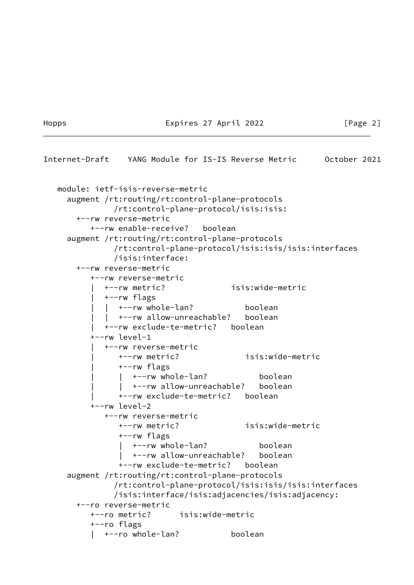#### Hopps Expires 27 April 2022 [Page 2]

```
Internet-Draft YANG Module for IS-IS Reverse Metric October 2021
   module: ietf-isis-reverse-metric
     augment /rt:routing/rt:control-plane-protocols
               /rt:control-plane-protocol/isis:isis:
       +--rw reverse-metric
          +--rw enable-receive? boolean
     augment /rt:routing/rt:control-plane-protocols
               /rt:control-plane-protocol/isis:isis/isis:interfaces
               /isis:interface:
       +--rw reverse-metric
          +--rw reverse-metric
            | +--rw metric? isis:wide-metric
             | +--rw flags
            | +--rw whole-lan? boolean
            | +--rw allow-unreachable? boolean
             | +--rw exclude-te-metric? boolean
          +--rw level-1
             | +--rw reverse-metric
               | +--rw metric? isis:wide-metric
                | +--rw flags
               | +--rw whole-lan? boolean
                   | | +--rw allow-unreachable? boolean
                | +--rw exclude-te-metric? boolean
          +--rw level-2
             +--rw reverse-metric
                +--rw metric? isis:wide-metric
                +--rw flags
                   | +--rw whole-lan? boolean
                   | +--rw allow-unreachable? boolean
                +--rw exclude-te-metric? boolean
     augment /rt:routing/rt:control-plane-protocols
               /rt:control-plane-protocol/isis:isis/isis:interfaces
               /isis:interface/isis:adjacencies/isis:adjacency:
       +--ro reverse-metric
          +--ro metric? isis:wide-metric
          +--ro flags
          | +--ro whole-lan? boolean
```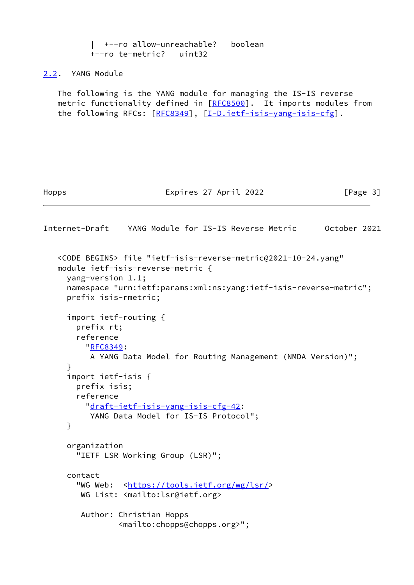```
 | +--ro allow-unreachable? boolean
           +--ro te-metric? uint32
2.2. YANG Module
   The following is the YANG module for managing the IS-IS reverse
   metric functionality defined in [RFC8500]. It imports modules from
   the following RFCs: [RFC8349], [I-D.ietf-isis-yang-isis-cfg].
Hopps Expires 27 April 2022 [Page 3]
Internet-Draft YANG Module for IS-IS Reverse Metric October 2021
    <CODE BEGINS> file "ietf-isis-reverse-metric@2021-10-24.yang"
   module ietf-isis-reverse-metric {
     yang-version 1.1;
     namespace "urn:ietf:params:xml:ns:yang:ietf-isis-reverse-metric";
     prefix isis-rmetric;
     import ietf-routing {
       prefix rt;
       reference
          "RFC8349:
          A YANG Data Model for Routing Management (NMDA Version)";
     }
      import ietf-isis {
       prefix isis;
       reference
          "draft-ietf-isis-yang-isis-cfg-42:
         YANG Data Model for IS-IS Protocol";
     }
     organization
        "IETF LSR Working Group (LSR)";
     contact
        "WG Web: <https://tools.ietf.org/wg/lsr/>
        WG List: <mailto:lsr@ietf.org>
        Author: Christian Hopps
                 <mailto:chopps@chopps.org>";
```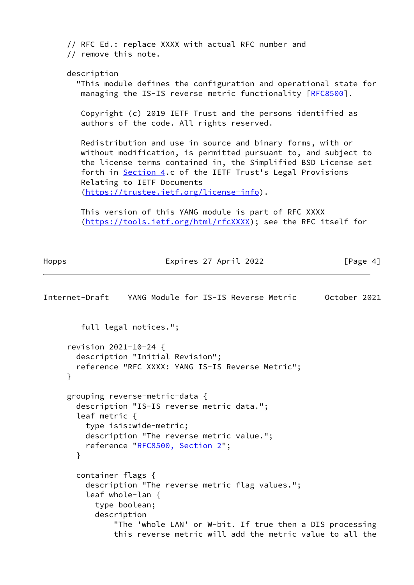// RFC Ed.: replace XXXX with actual RFC number and // remove this note. description "This module defines the configuration and operational state for managing the IS-IS reverse metric functionality [\[RFC8500](https://datatracker.ietf.org/doc/pdf/rfc8500)]. Copyright (c) 2019 IETF Trust and the persons identified as authors of the code. All rights reserved. Redistribution and use in source and binary forms, with or without modification, is permitted pursuant to, and subject to the license terms contained in, the Simplified BSD License set forth in **Section 4.c** of the IETF Trust's Legal Provisions Relating to IETF Documents [\(https://trustee.ietf.org/license-info\)](https://trustee.ietf.org/license-info). This version of this YANG module is part of RFC XXXX

[\(https://tools.ietf.org/html/rfcXXXX](https://tools.ietf.org/html/rfcXXXX)); see the RFC itself for

Hopps **Expires 27 April 2022** [Page 4]

```
Internet-Draft YANG Module for IS-IS Reverse Metric October 2021
         full legal notices.";
      revision 2021-10-24 {
        description "Initial Revision";
        reference "RFC XXXX: YANG IS-IS Reverse Metric";
      }
      grouping reverse-metric-data {
        description "IS-IS reverse metric data.";
        leaf metric {
          type isis:wide-metric;
          description "The reverse metric value.";
          reference "RFC8500, Section 2";
        }
        container flags {
          description "The reverse metric flag values.";
          leaf whole-lan {
            type boolean;
            description
                "The 'whole LAN' or W-bit. If true then a DIS processing
                this reverse metric will add the metric value to all the
```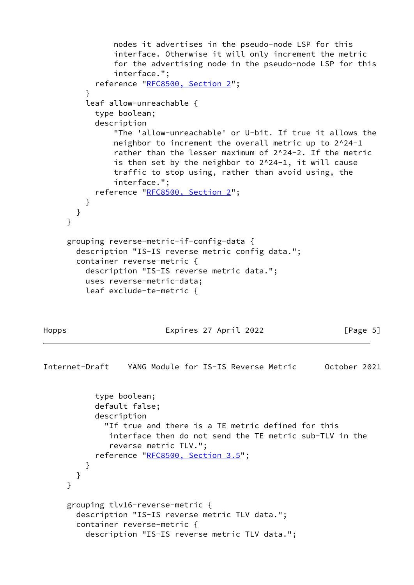```
 nodes it advertises in the pseudo-node LSP for this
                interface. Otherwise it will only increment the metric
                for the advertising node in the pseudo-node LSP for this
                interface.";
            reference "RFC8500, Section 2";
 }
          leaf allow-unreachable {
            type boolean;
            description
                "The 'allow-unreachable' or U-bit. If true it allows the
                neighbor to increment the overall metric up to 2^24-1
                rather than the lesser maximum of 2^24-2. If the metric
                is then set by the neighbor to 2^24-1, it will cause
                traffic to stop using, rather than avoid using, the
                interface.";
            reference "RFC8500, Section 2";
          }
       }
     }
     grouping reverse-metric-if-config-data {
        description "IS-IS reverse metric config data.";
        container reverse-metric {
          description "IS-IS reverse metric data.";
          uses reverse-metric-data;
          leaf exclude-te-metric {
```
Hopps Expires 27 April 2022 [Page 5]

```
Internet-Draft YANG Module for IS-IS Reverse Metric October 2021
            type boolean;
            default false;
            description
              "If true and there is a TE metric defined for this
               interface then do not send the TE metric sub-TLV in the
               reverse metric TLV.";
            reference "RFC8500, Section 3.5";
          }
       }
      }
      grouping tlv16-reverse-metric {
        description "IS-IS reverse metric TLV data.";
        container reverse-metric {
          description "IS-IS reverse metric TLV data.";
```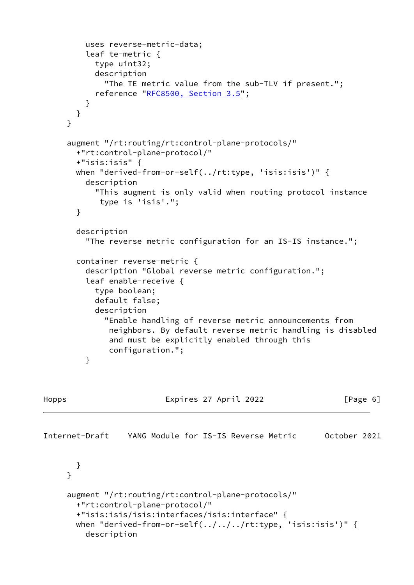```
 uses reverse-metric-data;
          leaf te-metric {
            type uint32;
            description
              "The TE metric value from the sub-TLV if present.";
            reference "RFC8500, Section 3.5";
          }
        }
      }
      augment "/rt:routing/rt:control-plane-protocols/"
        +"rt:control-plane-protocol/"
        +"isis:isis" {
        when "derived-from-or-self(../rt:type, 'isis:isis')" {
          description
            "This augment is only valid when routing protocol instance
             type is 'isis'.";
        }
        description
          "The reverse metric configuration for an IS-IS instance.";
        container reverse-metric {
          description "Global reverse metric configuration.";
          leaf enable-receive {
            type boolean;
            default false;
            description
               "Enable handling of reverse metric announcements from
               neighbors. By default reverse metric handling is disabled
               and must be explicitly enabled through this
               configuration.";
          }
Hopps                                 Expires 27 April 2022                 [Page 6]
Internet-Draft YANG Module for IS-IS Reverse Metric October 2021
        }
      }
      augment "/rt:routing/rt:control-plane-protocols/"
        +"rt:control-plane-protocol/"
        +"isis:isis/isis:interfaces/isis:interface" {
        when "derived-from-or-self(../../../rt:type, 'isis:isis')" {
          description
```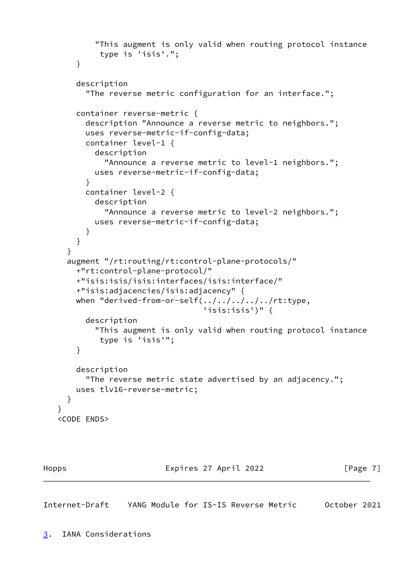```
 "This augment is only valid when routing protocol instance
             type is 'isis'.";
        }
        description
          "The reverse metric configuration for an interface.";
        container reverse-metric {
          description "Announce a reverse metric to neighbors.";
          uses reverse-metric-if-config-data;
          container level-1 {
            description
              "Announce a reverse metric to level-1 neighbors.";
            uses reverse-metric-if-config-data;
 }
          container level-2 {
            description
              "Announce a reverse metric to level-2 neighbors.";
            uses reverse-metric-if-config-data;
          }
        }
      }
      augment "/rt:routing/rt:control-plane-protocols/"
        +"rt:control-plane-protocol/"
        +"isis:isis/isis:interfaces/isis:interface/"
        +"isis:adjacencies/isis:adjacency" {
        when "derived-from-or-self(../../../../../rt:type,
                                    'isis:isis')" {
          description
            "This augment is only valid when routing protocol instance
             type is 'isis'";
        }
        description
          "The reverse metric state advertised by an adjacency.";
        uses tlv16-reverse-metric;
      }
    <CODE ENDS>
```
}

Hopps Expires 27 April 2022 [Page 7]

<span id="page-7-1"></span><span id="page-7-0"></span>Internet-Draft YANG Module for IS-IS Reverse Metric October 2021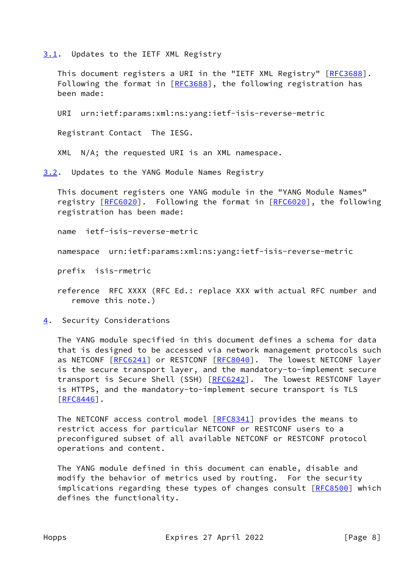<span id="page-8-0"></span>[3.1](#page-8-0). Updates to the IETF XML Registry

This document registers a URI in the "IETF XML Registry" [\[RFC3688](https://datatracker.ietf.org/doc/pdf/rfc3688)]. Following the format in [\[RFC3688](https://datatracker.ietf.org/doc/pdf/rfc3688)], the following registration has been made:

URI urn:ietf:params:xml:ns:yang:ietf-isis-reverse-metric

Registrant Contact The IESG.

XML N/A; the requested URI is an XML namespace.

<span id="page-8-1"></span>[3.2](#page-8-1). Updates to the YANG Module Names Registry

 This document registers one YANG module in the "YANG Module Names" registry [\[RFC6020](https://datatracker.ietf.org/doc/pdf/rfc6020)]. Following the format in [RFC6020], the following registration has been made:

name ietf-isis-reverse-metric

namespace urn:ietf:params:xml:ns:yang:ietf-isis-reverse-metric

prefix isis-rmetric

 reference RFC XXXX (RFC Ed.: replace XXX with actual RFC number and remove this note.)

<span id="page-8-2"></span>[4](#page-8-2). Security Considerations

 The YANG module specified in this document defines a schema for data that is designed to be accessed via network management protocols such as NETCONF [[RFC6241\]](https://datatracker.ietf.org/doc/pdf/rfc6241) or RESTCONF [\[RFC8040](https://datatracker.ietf.org/doc/pdf/rfc8040)]. The lowest NETCONF layer is the secure transport layer, and the mandatory-to-implement secure transport is Secure Shell (SSH) [\[RFC6242](https://datatracker.ietf.org/doc/pdf/rfc6242)]. The lowest RESTCONF layer is HTTPS, and the mandatory-to-implement secure transport is TLS  $[REC8446]$ .

The NETCONF access control model [\[RFC8341](https://datatracker.ietf.org/doc/pdf/rfc8341)] provides the means to restrict access for particular NETCONF or RESTCONF users to a preconfigured subset of all available NETCONF or RESTCONF protocol operations and content.

 The YANG module defined in this document can enable, disable and modify the behavior of metrics used by routing. For the security implications regarding these types of changes consult [[RFC8500](https://datatracker.ietf.org/doc/pdf/rfc8500)] which defines the functionality.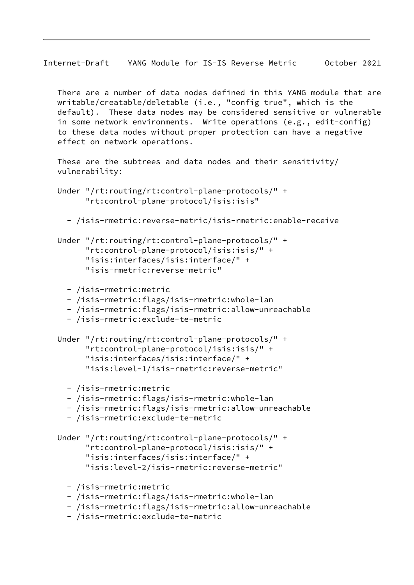There are a number of data nodes defined in this YANG module that are writable/creatable/deletable (i.e., "config true", which is the default). These data nodes may be considered sensitive or vulnerable in some network environments. Write operations (e.g., edit-config) to these data nodes without proper protection can have a negative effect on network operations.

 These are the subtrees and data nodes and their sensitivity/ vulnerability:

```
 Under "/rt:routing/rt:control-plane-protocols/" +
       "rt:control-plane-protocol/isis:isis"
```

```
 - /isis-rmetric:reverse-metric/isis-rmetric:enable-receive
```
- Under "/rt:routing/rt:control-plane-protocols/" + "rt:control-plane-protocol/isis:isis/" + "isis:interfaces/isis:interface/" + "isis-rmetric:reverse-metric"
	- /isis-rmetric:metric
	- /isis-rmetric:flags/isis-rmetric:whole-lan
	- /isis-rmetric:flags/isis-rmetric:allow-unreachable
	- /isis-rmetric:exclude-te-metric
- Under "/rt:routing/rt:control-plane-protocols/" + "rt:control-plane-protocol/isis:isis/" + "isis:interfaces/isis:interface/" + "isis:level-1/isis-rmetric:reverse-metric"
	- /isis-rmetric:metric
	- /isis-rmetric:flags/isis-rmetric:whole-lan
	- /isis-rmetric:flags/isis-rmetric:allow-unreachable
	- /isis-rmetric:exclude-te-metric
- Under "/rt:routing/rt:control-plane-protocols/" + "rt:control-plane-protocol/isis:isis/" + "isis:interfaces/isis:interface/" + "isis:level-2/isis-rmetric:reverse-metric"
	- /isis-rmetric:metric
	- /isis-rmetric:flags/isis-rmetric:whole-lan
	- /isis-rmetric:flags/isis-rmetric:allow-unreachable
	- /isis-rmetric:exclude-te-metric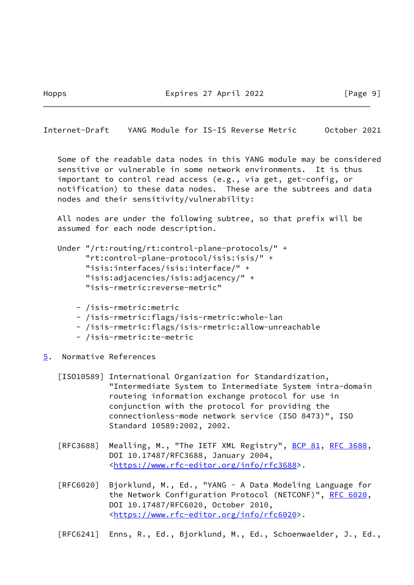Hopps Expires 27 April 2022 [Page 9]

<span id="page-10-1"></span>Internet-Draft YANG Module for IS-IS Reverse Metric October 2021

 Some of the readable data nodes in this YANG module may be considered sensitive or vulnerable in some network environments. It is thus important to control read access (e.g., via get, get-config, or notification) to these data nodes. These are the subtrees and data nodes and their sensitivity/vulnerability:

 All nodes are under the following subtree, so that prefix will be assumed for each node description.

```
 Under "/rt:routing/rt:control-plane-protocols/" +
       "rt:control-plane-protocol/isis:isis/" +
       "isis:interfaces/isis:interface/" +
       "isis:adjacencies/isis:adjacency/" +
       "isis-rmetric:reverse-metric"
```
- /isis-rmetric:metric
- /isis-rmetric:flags/isis-rmetric:whole-lan
- /isis-rmetric:flags/isis-rmetric:allow-unreachable
- /isis-rmetric:te-metric
- <span id="page-10-0"></span>[5](#page-10-0). Normative References

<span id="page-10-2"></span> [ISO10589] International Organization for Standardization, "Intermediate System to Intermediate System intra-domain routeing information exchange protocol for use in conjunction with the protocol for providing the connectionless-mode network service (ISO 8473)", ISO Standard 10589:2002, 2002.

- [RFC3688] Mealling, M., "The IETF XML Registry", [BCP 81](https://datatracker.ietf.org/doc/pdf/bcp81), [RFC 3688](https://datatracker.ietf.org/doc/pdf/rfc3688), DOI 10.17487/RFC3688, January 2004, <[https://www.rfc-editor.org/info/rfc3688>](https://www.rfc-editor.org/info/rfc3688).
- [RFC6020] Bjorklund, M., Ed., "YANG A Data Modeling Language for the Network Configuration Protocol (NETCONF)", [RFC 6020](https://datatracker.ietf.org/doc/pdf/rfc6020), DOI 10.17487/RFC6020, October 2010, <[https://www.rfc-editor.org/info/rfc6020>](https://www.rfc-editor.org/info/rfc6020).

[RFC6241] Enns, R., Ed., Bjorklund, M., Ed., Schoenwaelder, J., Ed.,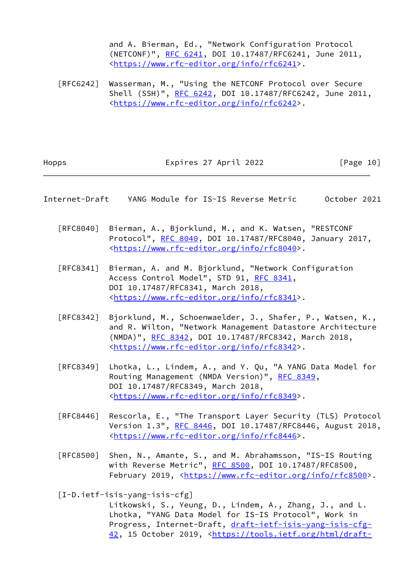and A. Bierman, Ed., "Network Configuration Protocol (NETCONF)", [RFC 6241,](https://datatracker.ietf.org/doc/pdf/rfc6241) DOI 10.17487/RFC6241, June 2011, <[https://www.rfc-editor.org/info/rfc6241>](https://www.rfc-editor.org/info/rfc6241).

 [RFC6242] Wasserman, M., "Using the NETCONF Protocol over Secure Shell (SSH)", [RFC 6242](https://datatracker.ietf.org/doc/pdf/rfc6242), DOI 10.17487/RFC6242, June 2011, <[https://www.rfc-editor.org/info/rfc6242>](https://www.rfc-editor.org/info/rfc6242).

Hopps Expires 27 April 2022 [Page 10]

- <span id="page-11-0"></span>Internet-Draft YANG Module for IS-IS Reverse Metric October 2021
	- [RFC8040] Bierman, A., Bjorklund, M., and K. Watsen, "RESTCONF Protocol", [RFC 8040](https://datatracker.ietf.org/doc/pdf/rfc8040), DOI 10.17487/RFC8040, January 2017, <[https://www.rfc-editor.org/info/rfc8040>](https://www.rfc-editor.org/info/rfc8040).
	- [RFC8341] Bierman, A. and M. Bjorklund, "Network Configuration Access Control Model", STD 91, [RFC 8341](https://datatracker.ietf.org/doc/pdf/rfc8341), DOI 10.17487/RFC8341, March 2018, <[https://www.rfc-editor.org/info/rfc8341>](https://www.rfc-editor.org/info/rfc8341).
	- [RFC8342] Bjorklund, M., Schoenwaelder, J., Shafer, P., Watsen, K., and R. Wilton, "Network Management Datastore Architecture (NMDA)", [RFC 8342,](https://datatracker.ietf.org/doc/pdf/rfc8342) DOI 10.17487/RFC8342, March 2018, <[https://www.rfc-editor.org/info/rfc8342>](https://www.rfc-editor.org/info/rfc8342).
	- [RFC8349] Lhotka, L., Lindem, A., and Y. Qu, "A YANG Data Model for Routing Management (NMDA Version)", [RFC 8349,](https://datatracker.ietf.org/doc/pdf/rfc8349) DOI 10.17487/RFC8349, March 2018, <[https://www.rfc-editor.org/info/rfc8349>](https://www.rfc-editor.org/info/rfc8349).
	- [RFC8446] Rescorla, E., "The Transport Layer Security (TLS) Protocol Version 1.3", [RFC 8446](https://datatracker.ietf.org/doc/pdf/rfc8446), DOI 10.17487/RFC8446, August 2018, <[https://www.rfc-editor.org/info/rfc8446>](https://www.rfc-editor.org/info/rfc8446).
	- [RFC8500] Shen, N., Amante, S., and M. Abrahamsson, "IS-IS Routing with Reverse Metric", [RFC 8500](https://datatracker.ietf.org/doc/pdf/rfc8500), DOI 10.17487/RFC8500, February 2019, <<https://www.rfc-editor.org/info/rfc8500>>.

<span id="page-11-1"></span>[I-D.ietf-isis-yang-isis-cfg]

 Litkowski, S., Yeung, D., Lindem, A., Zhang, J., and L. Lhotka, "YANG Data Model for IS-IS Protocol", Work in Progress, Internet-Draft, [draft-ietf-isis-yang-isis-cfg-](https://datatracker.ietf.org/doc/pdf/draft-ietf-isis-yang-isis-cfg-42)[42,](https://datatracker.ietf.org/doc/pdf/draft-ietf-isis-yang-isis-cfg-42) 15 October 2019, [<https://tools.ietf.org/html/draft-](https://tools.ietf.org/html/draft-ietf-isis-yang-isis-cfg-42)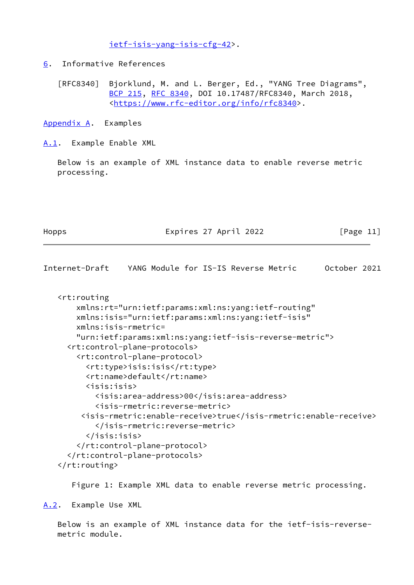[ietf-isis-yang-isis-cfg-42>](https://tools.ietf.org/html/draft-ietf-isis-yang-isis-cfg-42).

<span id="page-12-0"></span>[6](#page-12-0). Informative References

 [RFC8340] Bjorklund, M. and L. Berger, Ed., "YANG Tree Diagrams", [BCP 215](https://datatracker.ietf.org/doc/pdf/bcp215), [RFC 8340,](https://datatracker.ietf.org/doc/pdf/rfc8340) DOI 10.17487/RFC8340, March 2018, <[https://www.rfc-editor.org/info/rfc8340>](https://www.rfc-editor.org/info/rfc8340).

<span id="page-12-1"></span>[Appendix A.](#page-12-1) Examples

<span id="page-12-2"></span>[A.1](#page-12-2). Example Enable XML

 Below is an example of XML instance data to enable reverse metric processing.

Hopps Expires 27 April 2022 [Page 11]

<span id="page-12-4"></span>Internet-Draft YANG Module for IS-IS Reverse Metric October 2021 <rt:routing xmlns:rt="urn:ietf:params:xml:ns:yang:ietf-routing" xmlns:isis="urn:ietf:params:xml:ns:yang:ietf-isis" xmlns:isis-rmetric= "urn:ietf:params:xml:ns:yang:ietf-isis-reverse-metric"> <rt:control-plane-protocols> <rt:control-plane-protocol> <rt:type>isis:isis</rt:type> <rt:name>default</rt:name> <isis:isis> <isis:area-address>00</isis:area-address> <isis-rmetric:reverse-metric> <isis-rmetric:enable-receive>true</isis-rmetric:enable-receive> </isis-rmetric:reverse-metric> </isis:isis> </rt:control-plane-protocol> </rt:control-plane-protocols>

</rt:routing>

Figure 1: Example XML data to enable reverse metric processing.

<span id="page-12-3"></span>[A.2](#page-12-3). Example Use XML

 Below is an example of XML instance data for the ietf-isis-reverse metric module.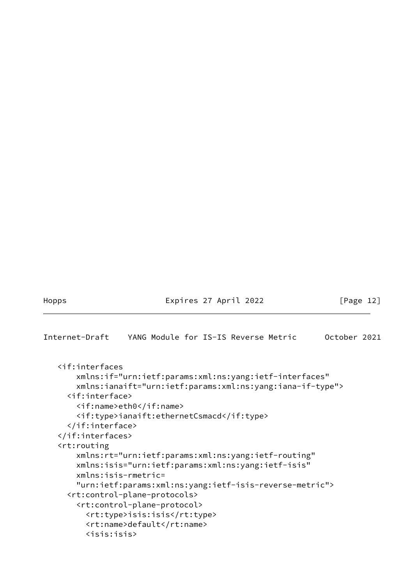## Hopps Expires 27 April 2022 [Page 12]

<span id="page-13-0"></span>Internet-Draft YANG Module for IS-IS Reverse Metric October 2021

 <if:interfaces xmlns:if="urn:ietf:params:xml:ns:yang:ietf-interfaces" xmlns:ianaift="urn:ietf:params:xml:ns:yang:iana-if-type"> <if:interface> <if:name>eth0</if:name> <if:type>ianaift:ethernetCsmacd</if:type> </if:interface> </if:interfaces> <rt:routing xmlns:rt="urn:ietf:params:xml:ns:yang:ietf-routing" xmlns:isis="urn:ietf:params:xml:ns:yang:ietf-isis" xmlns:isis-rmetric= "urn:ietf:params:xml:ns:yang:ietf-isis-reverse-metric"> <rt:control-plane-protocols> <rt:control-plane-protocol> <rt:type>isis:isis</rt:type> <rt:name>default</rt:name> <isis:isis>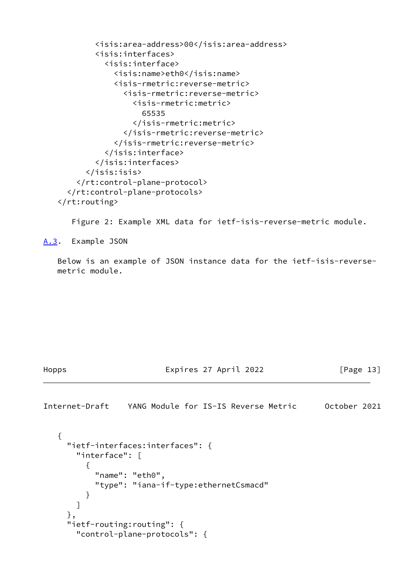```
 <isis:area-address>00</isis:area-address>
         <isis:interfaces>
           <isis:interface>
              <isis:name>eth0</isis:name>
              <isis-rmetric:reverse-metric>
                <isis-rmetric:reverse-metric>
                  <isis-rmetric:metric>
                    65535
                  </isis-rmetric:metric>
                </isis-rmetric:reverse-metric>
              </isis-rmetric:reverse-metric>
            </isis:interface>
         </isis:interfaces>
       </isis:isis>
     </rt:control-plane-protocol>
   </rt:control-plane-protocols>
\langlert:routing>
```
Figure 2: Example XML data for ietf-isis-reverse-metric module.

<span id="page-14-0"></span>[A.3](#page-14-0). Example JSON

 Below is an example of JSON instance data for the ietf-isis-reverse metric module.

Hopps Expires 27 April 2022 [Page 13]

<span id="page-14-1"></span>Internet-Draft YANG Module for IS-IS Reverse Metric October 2021

```
 {
     "ietf-interfaces:interfaces": {
       "interface": [
\{ "name": "eth0",
           "type": "iana-if-type:ethernetCsmacd"
 }
       ]
     },
     "ietf-routing:routing": {
       "control-plane-protocols": {
```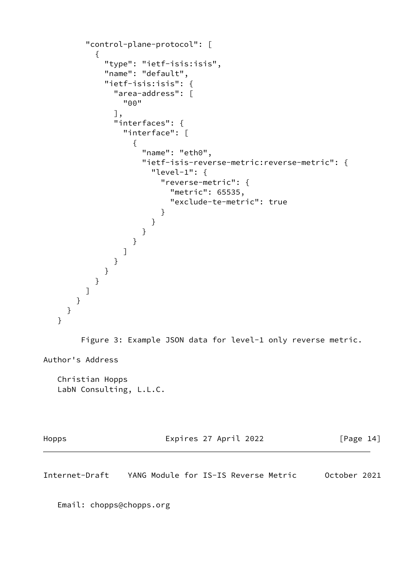```
 "control-plane-protocol": [
         {
           "type": "ietf-isis:isis",
           "name": "default",
           "ietf-isis:isis": {
             "area-address": [
              "00"
             ],
             "interfaces": {
              "interface": [
\{ "name": "eth0",
                 "ietf-isis-reverse-metric:reverse-metric": {
                   "level-1": {
                     "reverse-metric": {
                      "metric": 65535,
                      "exclude-te-metric": true
 }
 }
 }
 }
 ]
 }
           }
         }
        ]
      }
    }
   }
       Figure 3: Example JSON data for level-1 only reverse metric.
Author's Address
   Christian Hopps
   LabN Consulting, L.L.C.
Hopps Expires 27 April 2022 [Page 14]
```
Internet-Draft YANG Module for IS-IS Reverse Metric October 2021

Email: chopps@chopps.org